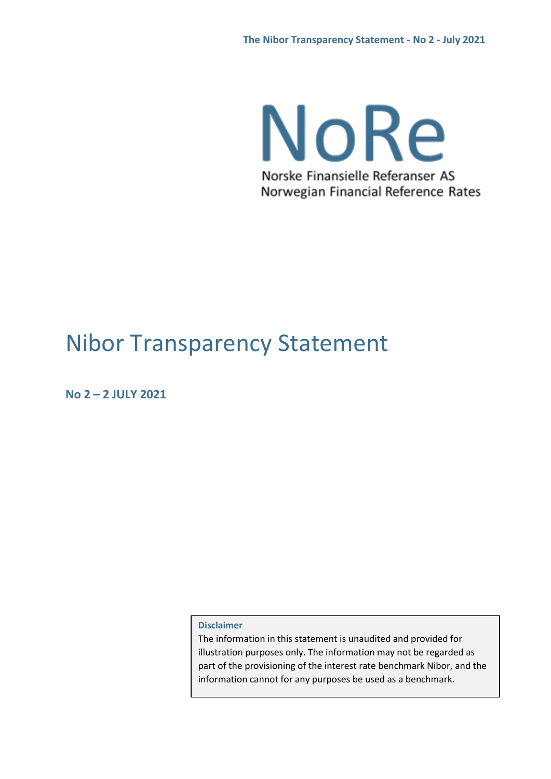NoRe Norske Finansielle Referanser AS Norwegian Financial Reference Rates

# Nibor Transparency Statement

**No 2 – 2 JULY 2021**

**Disclaimer**

The information in this statement is unaudited and provided for illustration purposes only. The information may not be regarded as part of the provisioning of the interest rate benchmark Nibor, and the information cannot for any purposes be used as a benchmark.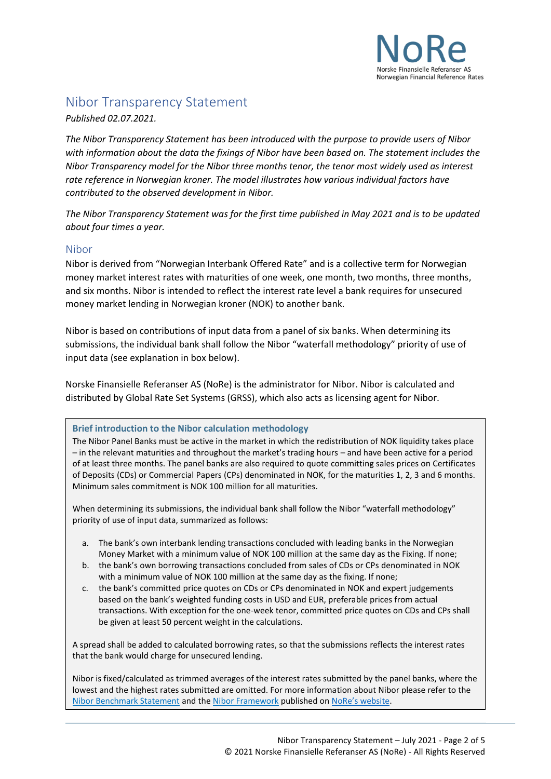

# Nibor Transparency Statement

*Published 02.07.2021.*

*The Nibor Transparency Statement has been introduced with the purpose to provide users of Nibor with information about the data the fixings of Nibor have been based on. The statement includes the Nibor Transparency model for the Nibor three months tenor, the tenor most widely used as interest rate reference in Norwegian kroner. The model illustrates how various individual factors have contributed to the observed development in Nibor.* 

*The Nibor Transparency Statement was for the first time published in May 2021 and is to be updated about four times a year.*

#### Nibor

Nibor is derived from "Norwegian Interbank Offered Rate" and is a collective term for Norwegian money market interest rates with maturities of one week, one month, two months, three months, and six months. Nibor is intended to reflect the interest rate level a bank requires for unsecured money market lending in Norwegian kroner (NOK) to another bank.

Nibor is based on contributions of input data from a panel of six banks. When determining its submissions, the individual bank shall follow the Nibor "waterfall methodology" priority of use of input data (see explanation in box below).

Norske Finansielle Referanser AS (NoRe) is the administrator for Nibor. Nibor is calculated and distributed by Global Rate Set Systems (GRSS), which also acts as licensing agent for Nibor.

#### **Brief introduction to the Nibor calculation methodology**

The Nibor Panel Banks must be active in the market in which the redistribution of NOK liquidity takes place – in the relevant maturities and throughout the market's trading hours – and have been active for a period of at least three months. The panel banks are also required to quote committing sales prices on Certificates of Deposits (CDs) or Commercial Papers (CPs) denominated in NOK, for the maturities 1, 2, 3 and 6 months. Minimum sales commitment is NOK 100 million for all maturities.

When determining its submissions, the individual bank shall follow the Nibor "waterfall methodology" priority of use of input data, summarized as follows:

- a. The bank's own interbank lending transactions concluded with leading banks in the Norwegian Money Market with a minimum value of NOK 100 million at the same day as the Fixing. If none;
- b. the bank's own borrowing transactions concluded from sales of CDs or CPs denominated in NOK with a minimum value of NOK 100 million at the same day as the fixing. If none;
- c. the bank's committed price quotes on CDs or CPs denominated in NOK and expert judgements based on the bank's weighted funding costs in USD and EUR, preferable prices from actual transactions. With exception for the one-week tenor, committed price quotes on CDs and CPs shall be given at least 50 percent weight in the calculations.

A spread shall be added to calculated borrowing rates, so that the submissions reflects the interest rates that the bank would charge for unsecured lending.

Nibor is fixed/calculated as trimmed averages of the interest rates submitted by the panel banks, where the lowest and the highest rates submitted are omitted. For more information about Nibor please refer to the [Nibor Benchmark Statement](https://www.referanserenter.no/wp-content/uploads/2020/10/0-2-Nibor-Benchmark-Statement-V1.0.pdf) and the [Nibor Framework](https://www.referanserenter.no/nibor-framework/) published on [NoRe's website](https://www.referanserenter.no/).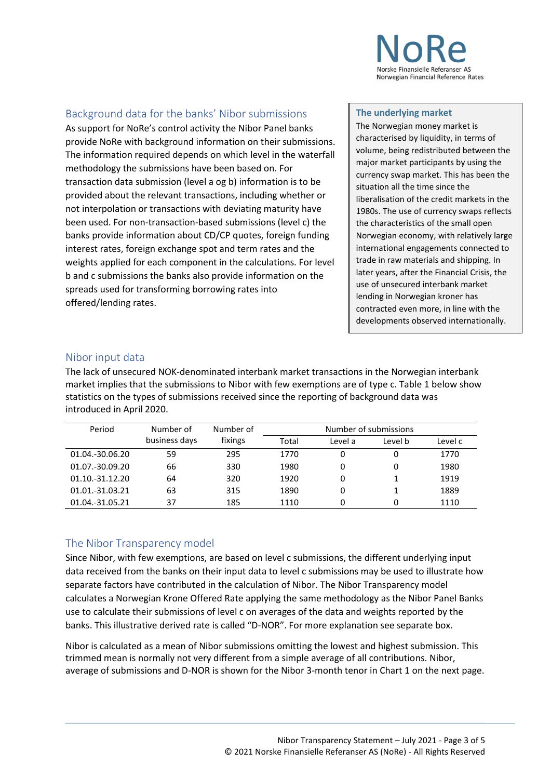

## Background data for the banks' Nibor submissions

As support for NoRe's control activity the Nibor Panel banks provide NoRe with background information on their submissions. The information required depends on which level in the waterfall methodology the submissions have been based on. For transaction data submission (level a og b) information is to be provided about the relevant transactions, including whether or not interpolation or transactions with deviating maturity have been used. For non-transaction-based submissions (level c) the banks provide information about CD/CP quotes, foreign funding interest rates, foreign exchange spot and term rates and the weights applied for each component in the calculations. For level b and c submissions the banks also provide information on the spreads used for transforming borrowing rates into offered/lending rates.

#### **The underlying market**

The Norwegian money market is characterised by liquidity, in terms of volume, being redistributed between the major market participants by using the currency swap market. This has been the situation all the time since the liberalisation of the credit markets in the 1980s. The use of currency swaps reflects the characteristics of the small open Norwegian economy, with relatively large international engagements connected to trade in raw materials and shipping. In later years, after the Financial Crisis, the use of unsecured interbank market lending in Norwegian kroner has contracted even more, in line with the developments observed internationally.

#### Nibor input data

The lack of unsecured NOK-denominated interbank market transactions in the Norwegian interbank market implies that the submissions to Nibor with few exemptions are of type c. Table 1 below show statistics on the types of submissions received since the reporting of background data was introduced in April 2020.

| Period          | Number of     | Number of | Number of submissions |         |         |         |
|-----------------|---------------|-----------|-----------------------|---------|---------|---------|
|                 | business days | fixings   | Total                 | Level a | Level b | Level c |
| 01.04.-30.06.20 | 59            | 295       | 1770                  | 0       | 0       | 1770    |
| 01.07.-30.09.20 | 66            | 330       | 1980                  | 0       | 0       | 1980    |
| 01.10.-31.12.20 | 64            | 320       | 1920                  | 0       |         | 1919    |
| 01.01.-31.03.21 | 63            | 315       | 1890                  | 0       |         | 1889    |
| 01.04.-31.05.21 | 37            | 185       | 1110                  | 0       | 0       | 1110    |

## The Nibor Transparency model

Since Nibor, with few exemptions, are based on level c submissions, the different underlying input data received from the banks on their input data to level c submissions may be used to illustrate how separate factors have contributed in the calculation of Nibor. The Nibor Transparency model calculates a Norwegian Krone Offered Rate applying the same methodology as the Nibor Panel Banks use to calculate their submissions of level c on averages of the data and weights reported by the banks. This illustrative derived rate is called "D-NOR". For more explanation see separate box.

Nibor is calculated as a mean of Nibor submissions omitting the lowest and highest submission. This trimmed mean is normally not very different from a simple average of all contributions. Nibor, average of submissions and D-NOR is shown for the Nibor 3-month tenor in Chart 1 on the next page.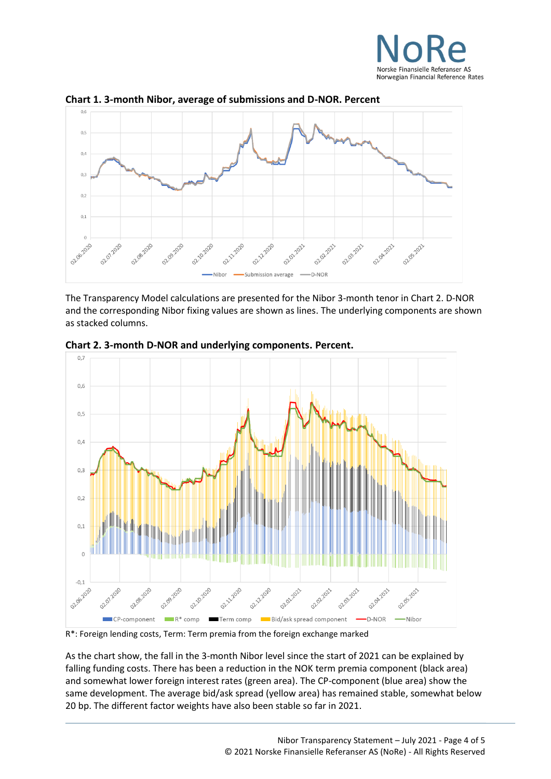



**Chart 1. 3-month Nibor, average of submissions and D-NOR. Percent**

The Transparency Model calculations are presented for the Nibor 3-month tenor in Chart 2. D-NOR and the corresponding Nibor fixing values are shown as lines. The underlying components are shown as stacked columns.



**Chart 2. 3-month D-NOR and underlying components. Percent.**

R\*: Foreign lending costs, Term: Term premia from the foreign exchange marked

As the chart show, the fall in the 3-month Nibor level since the start of 2021 can be explained by falling funding costs. There has been a reduction in the NOK term premia component (black area) and somewhat lower foreign interest rates (green area). The CP-component (blue area) show the same development. The average bid/ask spread (yellow area) has remained stable, somewhat below 20 bp. The different factor weights have also been stable so far in 2021.